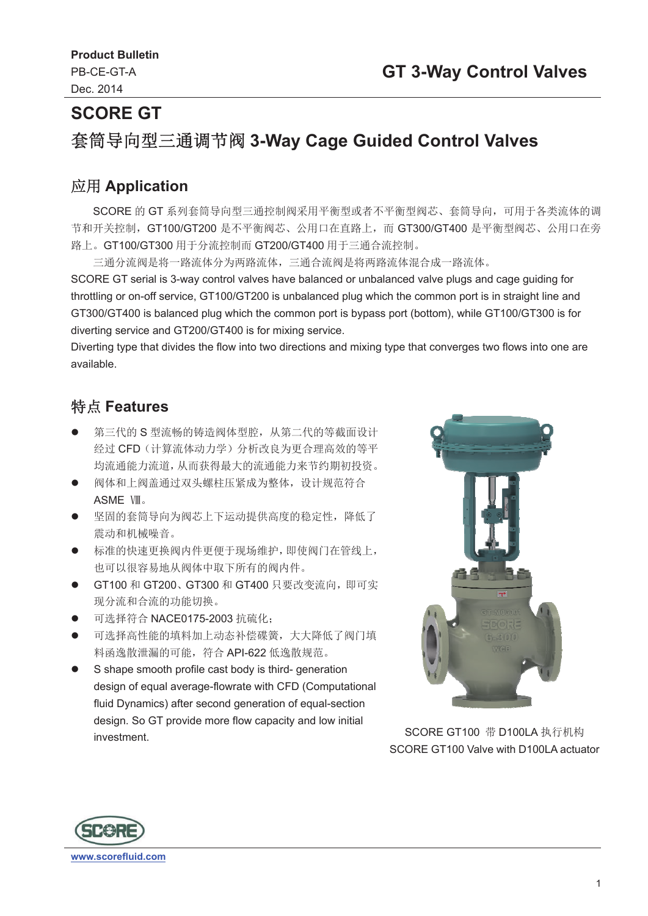# **SCORE GT 套筒导向型三通调节阀 3-Way Cage Guided Control Valves**

#### ᓄ⭘ **Application**

SCORE 的 GT 系列套筒导向型三通控制阀采用平衡型或者不平衡型阀芯、套筒导向, 可用于各类流体的调 节和开关控制, GT100/GT200 是不平衡阀芯、公用口在直路上, 而 GT300/GT400 是平衡型阀芯、公用口在旁 路上。GT100/GT300 用于分流控制而 GT200/GT400 用于三通合流控制。

三通分流阀是将一路流体分为两路流体,三通合流阀是将两路流体混合成一路流体。

SCORE GT serial is 3-way control valves have balanced or unbalanced valve plugs and cage guiding for throttling or on-off service, GT100/GT200 is unbalanced plug which the common port is in straight line and GT300/GT400 is balanced plug which the common port is bypass port (bottom), while GT100/GT300 is for diverting service and GT200/GT400 is for mixing service.

Diverting type that divides the flow into two directions and mixing type that converges two flows into one are available.

### ⢩⛩ **Features**

- 第三代的 S 型流畅的铸造阀体型腔, 从第二代的等截面设计 经讨 CFD (计算流体动力学) 分析改良为更合理高效的等平 均流通能力流道, 从而获得最大的流通能力来节约期初投资。
- 阀体和上阀盖通过双头螺柱压紧成为整体, 设计规范符合 ASME VIII.
- 坚固的套筒导向为阀芯上下运动提供高度的稳定性, 降低了 震动和机械噪音。
- 标准的快速更换阀内件更便于现场维护, 即使阀门在管线上, 也可以很容易地从阀体中取下所有的阀内件。
- GT100 和 GT200、GT300 和 GT400 只要改变流向, 即可实 现分流和合流的功能切换。
- 可选择符合 NACE0175-2003 抗硫化:
- 可选择高性能的填料加上动态补偿碟簧,大大降低了阀门填 料函逸散泄漏的可能,符合 API-622 低逸散规范。
- S shape smooth profile cast body is third- generation design of equal average-flowrate with CFD (Computational fluid Dynamics) after second generation of equal-section design. So GT provide more flow capacity and low initial investment.



SCORE GT100 带 D100LA 执行机构 SCORE GT100 Valve with D100LA actuator

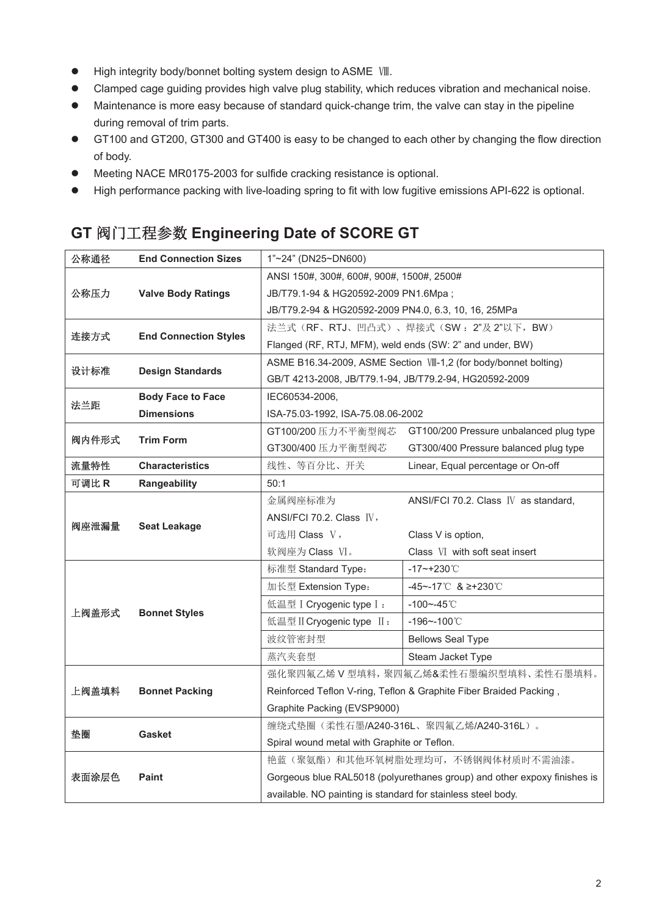- $\bullet$  High integrity body/bonnet bolting system design to ASME  $V\mathbb{I}$ .
- Clamped cage guiding provides high valve plug stability, which reduces vibration and mechanical noise.
- Maintenance is more easy because of standard quick-change trim, the valve can stay in the pipeline during removal of trim parts.
- GT100 and GT200, GT300 and GT400 is easy to be changed to each other by changing the flow direction of body.
- Meeting NACE MR0175-2003 for sulfide cracking resistance is optional.
- High performance packing with live-loading spring to fit with low fugitive emissions API-622 is optional.

### **GT** 䰰䰘ᐕ〻৲ᮠ **Engineering Date of SCORE GT**

| 公称通径  | <b>End Connection Sizes</b>  | $1"~24"$ (DN25~DN600)                                    |                                                                          |  |  |  |  |  |
|-------|------------------------------|----------------------------------------------------------|--------------------------------------------------------------------------|--|--|--|--|--|
|       |                              | ANSI 150#, 300#, 600#, 900#, 1500#, 2500#                |                                                                          |  |  |  |  |  |
| 公称压力  | <b>Valve Body Ratings</b>    | JB/T79.1-94 & HG20592-2009 PN1.6Mpa ;                    |                                                                          |  |  |  |  |  |
|       |                              | JB/T79.2-94 & HG20592-2009 PN4.0, 6.3, 10, 16, 25MPa     |                                                                          |  |  |  |  |  |
| 连接方式  |                              | 法兰式(RF、RTJ、凹凸式)、焊接式(SW: 2"及2"以下, BW)                     |                                                                          |  |  |  |  |  |
|       | <b>End Connection Styles</b> | Flanged (RF, RTJ, MFM), weld ends (SW: 2" and under, BW) |                                                                          |  |  |  |  |  |
|       |                              |                                                          | ASME B16.34-2009, ASME Section VII-1,2 (for body/bonnet bolting)         |  |  |  |  |  |
| 设计标准  | <b>Design Standards</b>      | GB/T 4213-2008, JB/T79.1-94, JB/T79.2-94, HG20592-2009   |                                                                          |  |  |  |  |  |
| 法兰距   | <b>Body Face to Face</b>     | IEC60534-2006.                                           |                                                                          |  |  |  |  |  |
|       | <b>Dimensions</b>            | ISA-75.03-1992, ISA-75.08.06-2002                        |                                                                          |  |  |  |  |  |
| 阀内件形式 |                              | GT100/200 压力不平衡型阀芯                                       | GT100/200 Pressure unbalanced plug type                                  |  |  |  |  |  |
|       | <b>Trim Form</b>             | GT300/400 压力平衡型阀芯                                        | GT300/400 Pressure balanced plug type                                    |  |  |  |  |  |
| 流量特性  | <b>Characteristics</b>       | 线性、等百分比、开关                                               | Linear, Equal percentage or On-off                                       |  |  |  |  |  |
| 可调比 R | Rangeability                 | 50:1                                                     |                                                                          |  |  |  |  |  |
|       |                              | 金属阀座标准为                                                  | ANSI/FCI 70.2. Class IV as standard,                                     |  |  |  |  |  |
| 阀座泄漏量 | <b>Seat Leakage</b>          | ANSI/FCI 70.2. Class IV,                                 |                                                                          |  |  |  |  |  |
|       |                              | 可选用 Class V,                                             | Class V is option.                                                       |  |  |  |  |  |
|       |                              | 软阀座为 Class VI。                                           | Class VI with soft seat insert                                           |  |  |  |  |  |
|       |                              | 标准型 Standard Type:                                       | $-17$ ~+230°C                                                            |  |  |  |  |  |
|       |                              | 加长型 Extension Type:                                      | -45~-17℃ & ≥+230℃                                                        |  |  |  |  |  |
| 上阀盖形式 | <b>Bonnet Styles</b>         | 低温型 I Cryogenic type I:                                  | $-100 - -45$ °C                                                          |  |  |  |  |  |
|       |                              | 低温型 II Cryogenic type II:                                | $-196 - 100^{\circ}$                                                     |  |  |  |  |  |
|       |                              | 波纹管密封型                                                   | <b>Bellows Seal Type</b>                                                 |  |  |  |  |  |
|       |                              | 蒸汽夹套型                                                    | Steam Jacket Type                                                        |  |  |  |  |  |
|       |                              |                                                          |                                                                          |  |  |  |  |  |
|       |                              |                                                          | 强化聚四氟乙烯 V 型填料, 聚四氟乙烯&柔性石墨编织型填料、柔性石墨填料。                                   |  |  |  |  |  |
| 上阀盖填料 | <b>Bonnet Packing</b>        |                                                          | Reinforced Teflon V-ring, Teflon & Graphite Fiber Braided Packing,       |  |  |  |  |  |
|       |                              | Graphite Packing (EVSP9000)                              |                                                                          |  |  |  |  |  |
|       |                              |                                                          | 缠绕式垫圈(柔性石墨/A240-316L、聚四氟乙烯/A240-316L)。                                   |  |  |  |  |  |
| 垫圈    | <b>Gasket</b>                | Spiral wound metal with Graphite or Teflon.              |                                                                          |  |  |  |  |  |
|       |                              |                                                          | 艳蓝(聚氨酯)和其他环氧树脂处理均可,不锈钢阀体材质时不需油漆。                                         |  |  |  |  |  |
| 表面涂层色 | <b>Paint</b>                 |                                                          | Gorgeous blue RAL5018 (polyurethanes group) and other expoxy finishes is |  |  |  |  |  |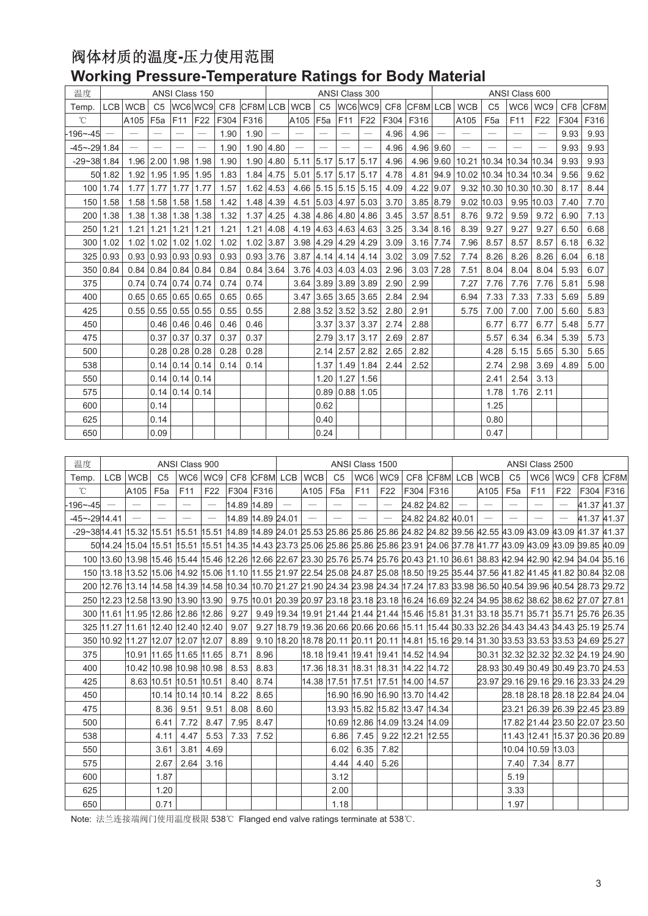#### 阀体材质的温度-压力使用范围 **Working Pressure-Temperature Ratings for Body Material**

| 温度               | ANSI Class 150 |             |                       |             |                                      |      |                                   | ANSI Class 300 |                          |                 |                          |                          |      |                    |             | ANSI Class 600                    |                 |                               |                          |      |          |
|------------------|----------------|-------------|-----------------------|-------------|--------------------------------------|------|-----------------------------------|----------------|--------------------------|-----------------|--------------------------|--------------------------|------|--------------------|-------------|-----------------------------------|-----------------|-------------------------------|--------------------------|------|----------|
| Temp.            | <b>LCB</b>     | <b>WCB</b>  |                       |             |                                      |      | C5  WC6 WC9  CF8  CF8M  LCB   WCB |                |                          | C5              |                          |                          |      | WC6WC9 CF8 CF8MLCB |             | <b>WCB</b>                        | C <sub>5</sub>  | WC6                           | WC9                      |      | CF8 CF8M |
| $^{\circ}$ C     |                | A105        | F <sub>5a</sub>       | F11         | <b>F22</b>                           | F304 | F316                              |                | A105                     | F <sub>5a</sub> | F11                      | F22                      |      | F304 F316          |             | A105                              | F <sub>5a</sub> | F11                           | F <sub>22</sub>          | F304 | F316     |
| 196~-45          |                |             |                       |             | $\overline{\phantom{0}}$             | 1.90 | 1.90                              |                |                          | $\equiv$        |                          |                          | 4.96 | 4.96               |             |                                   |                 | $\equiv$                      | $\overline{\phantom{0}}$ | 9.93 | 9.93     |
| $-45 - -29$ 1.84 |                |             | $\equiv$              |             |                                      | 1.90 | 1.90 4.80                         |                | $\overline{\phantom{0}}$ |                 | $\overline{\phantom{m}}$ | $\overline{\phantom{m}}$ | 4.96 |                    | 4.96 9.60   |                                   |                 | $\qquad \qquad$               |                          | 9.93 | 9.93     |
| $-29 - 38$ 1.84  |                | 1.96 2.00   |                       | 1.98        | 1.98                                 | 1.90 |                                   | $1.90$ 4.80    |                          |                 | 5.11 5.17 5.17 5.17      |                          | 4.96 |                    |             | 4.96 9.60 10.21 10.34 10.34 10.34 |                 |                               |                          | 9.93 | 9.93     |
|                  | 50 1.82        |             | 1.92 1.95 1.95 1.95   |             |                                      | 1.83 |                                   | 1.84 4.75      |                          |                 |                          | 5.01 5.17 5.17 5.17      | 4.78 |                    |             | 4.81 94.9 10.02 10.34 10.34 10.34 |                 |                               |                          | 9.56 | 9.62     |
|                  | 100 1.74       | $1.77$ 1.77 |                       | 1.77        | 1.77                                 | 1.57 |                                   | $1.62$ 4.53    |                          |                 |                          | 4.66 5.15 5.15 5.15      | 4.09 |                    | $4.22$ 9.07 |                                   |                 | 9.32 10.30 10.30 10.30        |                          | 8.17 | 8.44     |
|                  | 150 1.58       |             |                       |             | 1.58 1.58 1.58 1.58                  | 1.42 |                                   | $1.48$ 4.39    |                          |                 |                          | 4.51 5.03 4.97 5.03      | 3.70 |                    | 3.85 8.79   |                                   |                 | $9.02$   10.03   9.95   10.03 |                          | 7.40 | 7.70     |
|                  | 200 1.38       |             |                       |             | $1.38$   1.38   1.38   1.38          | 1.32 |                                   | $1.37$ 4.25    |                          |                 | 4.38 4.86 4.80 4.86      |                          | 3.45 |                    | $3.57$ 8.51 | 8.76                              | 9.72            | 9.59                          | 9.72                     | 6.90 | 7.13     |
| 250              | 1.21           | $1.21$ 1.21 |                       | 1.21        | 1.21                                 | 1.21 | 1.21                              | 4.08           |                          |                 | 4.19 4.63 4.63 4.63      |                          | 3.25 |                    | 3.34   8.16 | 8.39                              | 9.27            | 9.27                          | 9.27                     | 6.50 | 6.68     |
|                  | 300 1.02       |             | 1.02 1.02 1.02 1.02   |             |                                      | 1.02 | $1.02$ 3.87                       |                |                          |                 | 3.98 4.29 4.29 4.29      |                          | 3.09 | $3.16$ 7.74        |             | 7.96                              | 8.57            | 8.57                          | 8.57                     | 6.18 | 6.32     |
|                  | 325 0.93       |             |                       |             | $0.93 \mid 0.93 \mid 0.93 \mid 0.93$ | 0.93 |                                   | $0.93$ 3.76    |                          |                 |                          | $3.87$ 4.14 4.14 4.14    | 3.02 |                    | 3.09 7.52   | 7.74                              | 8.26            | 8.26                          | 8.26                     | 6.04 | 6.18     |
|                  | 350 0.84       |             | $0.84$ 0.84 0.84 0.84 |             |                                      | 0.84 |                                   | $0.84$ 3.64    |                          |                 | $3.76$ 4.03 4.03 4.03    |                          | 2.96 | $3.03$ 7.28        |             | 7.51                              | 8.04            | 8.04                          | 8.04                     | 5.93 | 6.07     |
| 375              |                |             | $0.74$ 0.74 0.74 0.74 |             |                                      | 0.74 | 0.74                              |                |                          |                 | $3.64$ 3.89 3.89 3.89    |                          | 2.90 | 2.99               |             | 7.27                              | 7.76            | 7.76                          | 7.76                     | 5.81 | 5.98     |
| 400              |                |             |                       |             | $0.65$ 0.65 0.65 0.65                | 0.65 | 0.65                              |                |                          |                 | 3.47 3.65 3.65 3.65      |                          | 2.84 | 2.94               |             | 6.94                              | 7.33            | 7.33                          | 7.33                     | 5.69 | 5.89     |
| 425              |                |             |                       |             | $0.55$ $0.55$ $0.55$ $0.55$          | 0.55 | 0.55                              |                |                          |                 | 2.88 3.52 3.52 3.52      |                          | 2.80 | 2.91               |             | 5.75                              | 7.00            | 7.00                          | 7.00                     | 5.60 | 5.83     |
| 450              |                |             |                       |             | $0.46$ 0.46 0.46                     | 0.46 | 0.46                              |                |                          |                 | 3.37 3.37 3.37           |                          | 2.74 | 2.88               |             |                                   | 6.77            | 6.77                          | 6.77                     | 5.48 | 5.77     |
| 475              |                |             | 0.37                  | 0.37        | 0.37                                 | 0.37 | 0.37                              |                |                          |                 | $2.79$ 3.17 3.17         |                          | 2.69 | 2.87               |             |                                   | 5.57            | 6.34                          | 6.34                     | 5.39 | 5.73     |
| 500              |                |             | 0.28                  | 0.28        | 0.28                                 | 0.28 | 0.28                              |                |                          |                 | 2.14 2.57 2.82           |                          | 2.65 | 2.82               |             |                                   | 4.28            | 5.15                          | 5.65                     | 5.30 | 5.65     |
| 538              |                |             |                       |             | $0.14$ 0.14 0.14                     | 0.14 | 0.14                              |                |                          |                 |                          | 1.37 1.49 1.84           | 2.44 | 2.52               |             |                                   | 2.74            | 2.98                          | 3.69                     | 4.89 | 5.00     |
| 550              |                |             | 0.14                  | $0.14$ 0.14 |                                      |      |                                   |                |                          |                 | 1.20 1.27 1.56           |                          |      |                    |             |                                   | 2.41            | 2.54                          | 3.13                     |      |          |
| 575              |                |             |                       |             | $0.14$ 0.14 0.14                     |      |                                   |                |                          |                 | $0.89$ 0.88 1.05         |                          |      |                    |             |                                   | 1.78            | 1.76                          | 2.11                     |      |          |
| 600              |                |             | 0.14                  |             |                                      |      |                                   |                |                          | 0.62            |                          |                          |      |                    |             |                                   | 1.25            |                               |                          |      |          |
| 625              |                |             | 0.14                  |             |                                      |      |                                   |                |                          | 0.40            |                          |                          |      |                    |             |                                   | 0.80            |                               |                          |      |          |
| 650              |                |             | 0.09                  |             |                                      |      |                                   |                |                          | 0.24            |                          |                          |      |                    |             |                                   | 0.47            |                               |                          |      |          |

| 温度                                                                                                                                                             |                          |                          |                                   | ANSI Class 900           |                          |                                                                                                                                   |      | ANSI Class 1500          |                          |                 |                                     |                          | ANSI Class 2500  |                   |                          |                          |                          |                   |                                                                                                |                 |      |
|----------------------------------------------------------------------------------------------------------------------------------------------------------------|--------------------------|--------------------------|-----------------------------------|--------------------------|--------------------------|-----------------------------------------------------------------------------------------------------------------------------------|------|--------------------------|--------------------------|-----------------|-------------------------------------|--------------------------|------------------|-------------------|--------------------------|--------------------------|--------------------------|-------------------|------------------------------------------------------------------------------------------------|-----------------|------|
| Temp.                                                                                                                                                          | <b>LCB</b>               | <b>WCB</b>               | C <sub>5</sub>                    |                          | WC6 WC9                  |                                                                                                                                   |      |                          | CF8 CF8M LCB WCB         | C <sub>5</sub>  |                                     | WC6 WC9                  |                  | CF8 CF8M LCB      |                          | <b>WCB</b>               | C <sub>5</sub>           | WC6               | WC9                                                                                            | CF <sub>8</sub> | CF8M |
| $^{\circ}$ C                                                                                                                                                   |                          | A105                     | F <sub>5a</sub>                   | F11                      | F <sub>22</sub>          | F304 F316                                                                                                                         |      |                          | A105                     | F <sub>5a</sub> | F11                                 | F <sub>22</sub>          |                  | F304 F316         |                          | A105                     | F <sub>5a</sub>          | F11               | F22                                                                                            | F304 F316       |      |
| $-196 - -45$                                                                                                                                                   | $\overline{\phantom{0}}$ | $\overline{\phantom{m}}$ | $\overline{\phantom{0}}$          | $\overline{\phantom{0}}$ |                          | 14.89 14.89                                                                                                                       |      | $\overline{\phantom{m}}$ | $\overline{\phantom{0}}$ |                 | $\overbrace{\qquad \qquad }^{}$     | $\overline{\phantom{m}}$ |                  | 24.82 24.82       | $\overline{\phantom{m}}$ | $\overline{\phantom{0}}$ |                          |                   |                                                                                                | 41.37 41.37     |      |
| -45~-2914.41                                                                                                                                                   |                          | $\overline{\phantom{m}}$ |                                   | $\overline{\phantom{0}}$ | $\overline{\phantom{0}}$ | 14.89 14.89 24.01                                                                                                                 |      |                          |                          |                 | $\overline{\phantom{0}}$            | $\overline{\phantom{m}}$ |                  | 24.82 24.82 40.01 |                          |                          | $\overline{\phantom{m}}$ |                   | $\overbrace{\phantom{1232211}}$                                                                | 41.37 41.37     |      |
| -29~3814.41  15.32  15.51  15.51  15.51  14.89  14.89  24.01  25.53  25.86  25.86  25.86  24.82  24.82  39.56  42.55  43.09  43.09  43.09  43.09  41.37  41.37 |                          |                          |                                   |                          |                          |                                                                                                                                   |      |                          |                          |                 |                                     |                          |                  |                   |                          |                          |                          |                   |                                                                                                |                 |      |
|                                                                                                                                                                |                          |                          |                                   |                          |                          | 5014.24 15.04 15.51 15.51 15.51 14.35 14.43 23.73 25.06 25.86 25.86 25.86 23.91 24.06 37.78 41.77 43.09 43.09 43.09 39.85 40.09   |      |                          |                          |                 |                                     |                          |                  |                   |                          |                          |                          |                   |                                                                                                |                 |      |
|                                                                                                                                                                |                          |                          |                                   |                          |                          | 100 13.60 13.98 15.46 15.44 15.46 12.26 12.66 22.67 23.30 25.76 25.74 25.76 20.43 21.10 36.61 38.83 42.94 42.90 42.94 34.04 35.16 |      |                          |                          |                 |                                     |                          |                  |                   |                          |                          |                          |                   |                                                                                                |                 |      |
|                                                                                                                                                                |                          |                          |                                   |                          |                          | 150 13.18 13.52 15.06 14.92 15.06 11.10 11.55 21.97 22.54 25.08 24.87 25.08 18.50 19.25 35.44 37.56 41.82 41.45 41.82 30.84 32.08 |      |                          |                          |                 |                                     |                          |                  |                   |                          |                          |                          |                   |                                                                                                |                 |      |
|                                                                                                                                                                |                          |                          |                                   |                          |                          | 200 12.76 13.14 14.58 14.39 14.58 10.34 10.70 21.27 21.90 24.34 23.98 24.34 17.24 17.83 33.98 36.50 40.54 39.96 40.54 28.73 29.72 |      |                          |                          |                 |                                     |                          |                  |                   |                          |                          |                          |                   |                                                                                                |                 |      |
|                                                                                                                                                                |                          |                          | 250 12.23 12.58 13.90 13.90 13.90 |                          |                          |                                                                                                                                   |      |                          |                          |                 |                                     |                          |                  |                   |                          |                          |                          |                   | 9.75 10.01 20.39 20.97 23.18 23.18 23.18 16.24 16.69 32.24 34.95 38.62 38.62 38.62 27.07 27.81 |                 |      |
|                                                                                                                                                                |                          |                          | 300 11.61 11.95 12.86 12.86 12.86 |                          |                          | 9.27                                                                                                                              |      |                          |                          |                 |                                     |                          |                  |                   |                          |                          |                          |                   | 9.49 19.34 19.91 21.44 21.44 21.44 15.46 15.81 31.31 33.18 35.71 35.71 35.71 25.76 26.35       |                 |      |
|                                                                                                                                                                |                          |                          | 325 11.27 11.61 12.40 12.40 12.40 |                          |                          | 9.07                                                                                                                              |      |                          |                          |                 |                                     |                          |                  |                   |                          |                          |                          |                   | 9.27 18.79 19.36 20.66 20.66 20.66 15.11 15.44 30.33 32.26 34.43 34.43 34.43 25.19 25.74       |                 |      |
|                                                                                                                                                                |                          |                          | 350 10.92 11.27 12.07 12.07 12.07 |                          |                          | 8.89                                                                                                                              |      |                          |                          |                 |                                     |                          |                  |                   |                          |                          |                          |                   | 9.10 18.20 18.78 20.11 20.11 20.11 14.81 15.16 29.14 31.30 33.53 33.53 33.53 24.69 25.27       |                 |      |
| 375                                                                                                                                                            |                          |                          |                                   |                          |                          | 8.71                                                                                                                              | 8.96 |                          |                          |                 |                                     |                          |                  |                   |                          |                          |                          |                   | 80.31 32.32 32.32 32.32 24.19 24.90                                                            |                 |      |
| 400                                                                                                                                                            |                          |                          | 10.42 10.98 10.98 10.98           |                          |                          | 8.53                                                                                                                              | 8.83 |                          |                          |                 |                                     |                          |                  |                   |                          |                          |                          |                   | 28.93 30.49 30.49 30.49 23.70 24.53                                                            |                 |      |
| 425                                                                                                                                                            |                          |                          | 8.63 10.51 10.51 10.51            |                          |                          | 8.40                                                                                                                              | 8.74 |                          |                          |                 | 14.38 17.51 17.51 17.51 14.00 14.57 |                          |                  |                   |                          |                          |                          |                   | 23.97 29.16 29.16 29.16 23.33 24.29                                                            |                 |      |
| 450                                                                                                                                                            |                          |                          | 10.14 10.14 10.14                 |                          |                          | 8.22                                                                                                                              | 8.65 |                          |                          |                 | l16.90 l16.90 l16.90 l13.70 l14.42  |                          |                  |                   |                          |                          |                          |                   | 28.18 28.18 28.18 22.84 24.04                                                                  |                 |      |
| 475                                                                                                                                                            |                          |                          | 8.36                              | 9.51                     | 9.51                     | 8.08                                                                                                                              | 8.60 |                          |                          |                 | 13.93 15.82 15.82 13.47 14.34       |                          |                  |                   |                          |                          |                          |                   | 23.21 26.39 26.39 22.45 23.89                                                                  |                 |      |
| 500                                                                                                                                                            |                          |                          | 6.41                              | 7.72                     | 8.47                     | 7.95                                                                                                                              | 8.47 |                          |                          |                 | 10.69  12.86  14.09  13.24  14.09   |                          |                  |                   |                          |                          |                          |                   | 17.82 21.44 23.50 22.07 23.50                                                                  |                 |      |
| 538                                                                                                                                                            |                          |                          | 4.11                              | 4.47                     | 5.53                     | 7.33                                                                                                                              | 7.52 |                          |                          | 6.86            | 7.45                                |                          | 9.22 12.21 12.55 |                   |                          |                          |                          |                   | 11.43 12.41 15.37 20.36 20.89                                                                  |                 |      |
| 550                                                                                                                                                            |                          |                          | 3.61                              | 3.81                     | 4.69                     |                                                                                                                                   |      |                          |                          | 6.02            | 6.35                                | 7.82                     |                  |                   |                          |                          |                          | 10.04 10.59 13.03 |                                                                                                |                 |      |
| 575                                                                                                                                                            |                          |                          | 2.67                              | 2.64                     | 3.16                     |                                                                                                                                   |      |                          |                          | 4.44            | 4.40                                | 5.26                     |                  |                   |                          |                          | 7.40                     |                   | 7.34 8.77                                                                                      |                 |      |
| 600                                                                                                                                                            |                          |                          | 1.87                              |                          |                          |                                                                                                                                   |      |                          |                          | 3.12            |                                     |                          |                  |                   |                          |                          | 5.19                     |                   |                                                                                                |                 |      |
| 625                                                                                                                                                            |                          |                          | 1.20                              |                          |                          |                                                                                                                                   |      |                          |                          | 2.00            |                                     |                          |                  |                   |                          |                          | 3.33                     |                   |                                                                                                |                 |      |
| 650                                                                                                                                                            |                          |                          | 0.71                              |                          |                          |                                                                                                                                   |      |                          |                          | 1.18            |                                     |                          |                  |                   |                          |                          | 1.97                     |                   |                                                                                                |                 |      |

Note: 法兰连接端阀门使用温度极限 538℃ Flanged end valve ratings terminate at 538℃.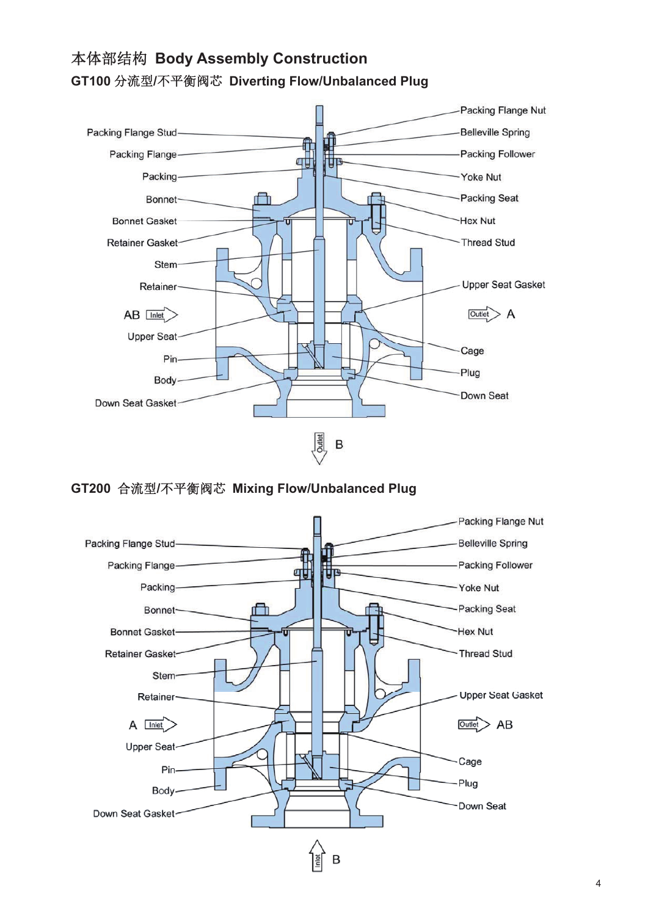#### Packing Flange Nut Packing Flange Stud-**Belleville Spring** Packing Follower Packing Flange**ati** ЦF Packing-Yoke Nut Packing Seat **Bonnet** Ħ **Bonnet Gasket** Hex Nut Thread Stud **Retainer Gasket-**Stem-**Upper Seat Gasket** Retainer- $AB$  Inlet  $\overline{\text{Outlet}}$  A **Upper Seat** Cage Pin-Plug Body Down Seat Down Seat Gasket B

### ᵜփ䜘㔃ᶴ **Body Assembly Construction GT100 分流型/不平衡阀芯 Diverting Flow/Unbalanced Plug**

**GT200** 合流型/不平衡阀芯 Mixing Flow/Unbalanced Plug

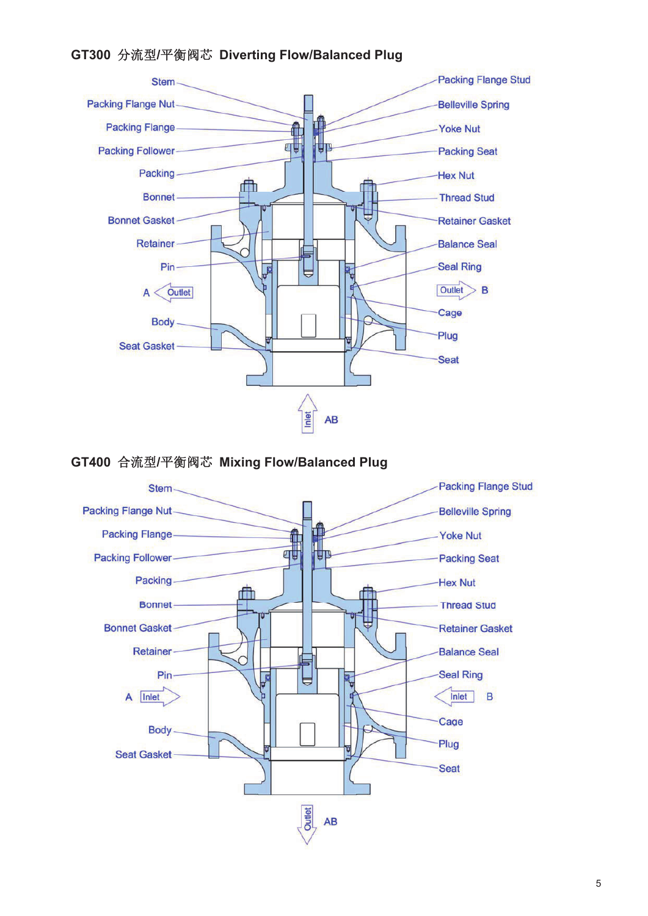#### **GT300** ࠶⍱ර**/**ᒣ㺑䰰㣟 **Diverting Flow/Balanced Plug**



**GT400 合流型/平衡阀芯 Mixing Flow/Balanced Plug** 

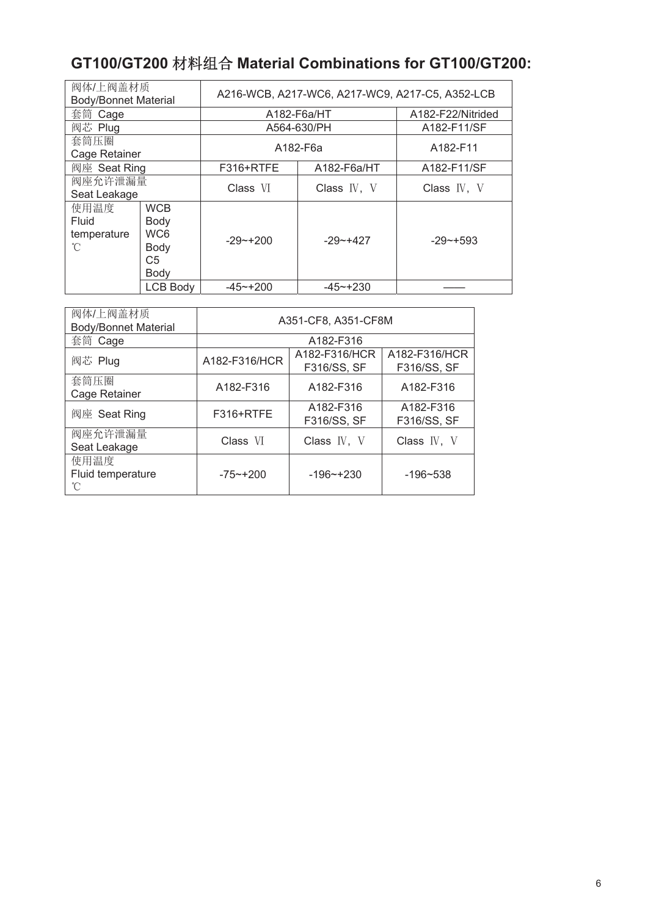# **GT100/GT200** ᶀᯉ㓴ਸ **Material Combinations for GT100/GT200:**

| 阀体/上阀盖材质<br><b>Body/Bonnet Material</b> |                                                                         | A216-WCB, A217-WC6, A217-WC9, A217-C5, A352-LCB |                                   |                                   |  |  |  |
|-----------------------------------------|-------------------------------------------------------------------------|-------------------------------------------------|-----------------------------------|-----------------------------------|--|--|--|
| 套筒 Cage                                 |                                                                         | A182-F6a/HT                                     | A182-F22/Nitrided                 |                                   |  |  |  |
| 阀芯 Plug                                 |                                                                         |                                                 | A564-630/PH                       | A182-F11/SF                       |  |  |  |
| 套筒压圈<br>Cage Retainer                   |                                                                         |                                                 | A182-F6a                          |                                   |  |  |  |
| 阀座 Seat Ring                            |                                                                         | F316+RTFE                                       | A182-F6a/HT                       | A182-F11/SF                       |  |  |  |
| 阀座允许泄漏量<br>Seat Leakage                 |                                                                         | Class VI                                        | Class $\mathbb{N}$ , $\mathbb{V}$ | Class $\mathbb{N}$ , $\mathbb{V}$ |  |  |  |
| 使用温度<br>Fluid<br>temperature<br>°C      | <b>WCB</b><br>Body<br>WC <sub>6</sub><br>Body<br>C <sub>5</sub><br>Body | $-29$ $-1200$                                   | $-29 - +427$                      | $-29$ $-1593$                     |  |  |  |
|                                         | <b>LCB Body</b>                                                         | $-45$ ~+200                                     | $-45 - +230$                      |                                   |  |  |  |

| 阀体/上阀盖材质<br><b>Body/Bonnet Material</b> | A351-CF8, A351-CF8M |                              |                              |  |  |  |  |  |
|-----------------------------------------|---------------------|------------------------------|------------------------------|--|--|--|--|--|
| 套筒 Cage                                 |                     |                              |                              |  |  |  |  |  |
| 阀芯 Plug                                 | A182-F316/HCR       | A182-F316/HCR<br>F316/SS, SF | A182-F316/HCR<br>F316/SS, SF |  |  |  |  |  |
| 套筒压圈<br>Cage Retainer                   | A182-F316           | A182-F316                    | A182-F316                    |  |  |  |  |  |
| 阀座 Seat Ring                            | F316+RTFE           | A182-F316<br>F316/SS, SF     | A182-F316<br>F316/SS, SF     |  |  |  |  |  |
| 阀座允许泄漏量<br>Seat Leakage                 | Class VI            | Class IV, V                  | Class IV, V                  |  |  |  |  |  |
| 使用温度<br>Fluid temperature<br>°C         | $-75 - +200$        | $-196$ $-+230$               | $-196 - 538$                 |  |  |  |  |  |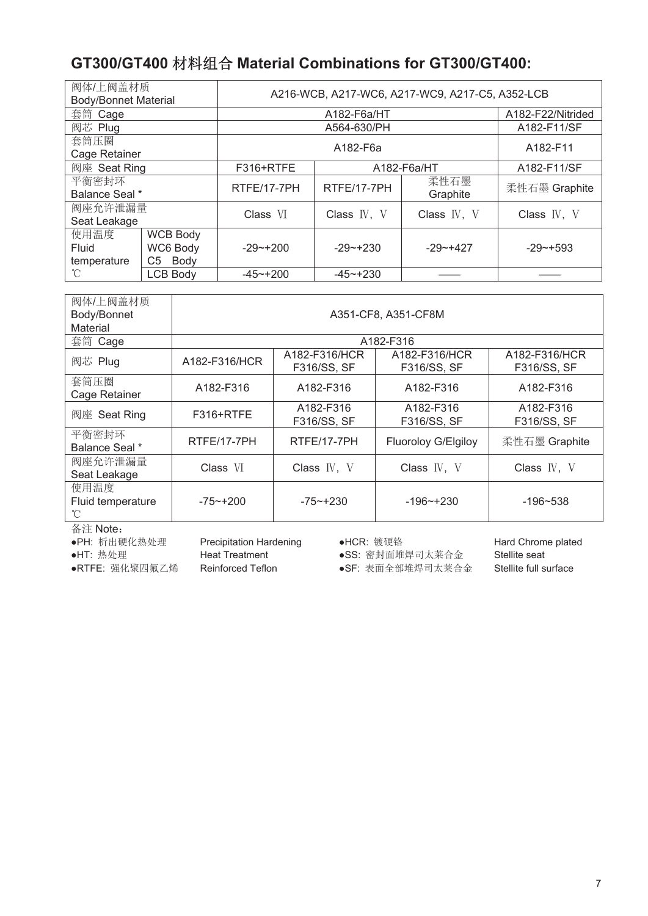## **GT300/GT400** ᶀᯉ㓴ਸ **Material Combinations for GT300/GT400:**

| 阀体/上阀盖材质<br><b>Body/Bonnet Material</b>                                   |                 | A216-WCB, A217-WC6, A217-WC9, A217-C5, A352-LCB |                   |                  |               |  |  |  |
|---------------------------------------------------------------------------|-----------------|-------------------------------------------------|-------------------|------------------|---------------|--|--|--|
| 套筒 Cage                                                                   |                 |                                                 | A182-F22/Nitrided |                  |               |  |  |  |
| 阀芯 Plug                                                                   |                 |                                                 | A564-630/PH       |                  | A182-F11/SF   |  |  |  |
| 套筒压圈<br>Cage Retainer                                                     |                 |                                                 | A182-F11          |                  |               |  |  |  |
| 阀座 Seat Ring                                                              |                 | F316+RTFE                                       | A182-F6a/HT       | A182-F11/SF      |               |  |  |  |
| 平衡密封环<br>Balance Seal *                                                   |                 | RTFE/17-7PH                                     | RTFE/17-7PH       | 柔性石墨<br>Graphite | 柔性石墨 Graphite |  |  |  |
| 阀座允许泄漏量<br>Seat Leakage                                                   |                 | Class VI                                        | Class IV, V       | Class IV, V      | Class IV, V   |  |  |  |
| 使用温度<br><b>WCB Body</b><br>Fluid<br>WC6 Body<br>Body<br>temperature<br>C5 |                 | $-29 - +200$                                    | $-29 - +230$      | $-29 - +427$     | $-29 - +593$  |  |  |  |
| °C                                                                        | <b>LCB Body</b> | $-45 - +200$                                    | $-45 - +230$      |                  |               |  |  |  |

| 阀体/上阀盖材质<br>Body/Bonnet<br>Material | A351-CF8, A351-CF8M |                              |                              |                              |  |  |  |  |  |  |
|-------------------------------------|---------------------|------------------------------|------------------------------|------------------------------|--|--|--|--|--|--|
| 套筒 Cage                             | A182-F316           |                              |                              |                              |  |  |  |  |  |  |
| 阀芯 Plug                             | A182-F316/HCR       | A182-F316/HCR<br>F316/SS, SF | A182-F316/HCR<br>F316/SS, SF | A182-F316/HCR<br>F316/SS, SF |  |  |  |  |  |  |
| 套筒压圈<br>Cage Retainer               | A182-F316           | A182-F316                    | A182-F316                    | A182-F316                    |  |  |  |  |  |  |
| 阀座 Seat Ring                        | F316+RTFE           | A182-F316<br>F316/SS, SF     | A182-F316<br>F316/SS, SF     | A182-F316<br>F316/SS, SF     |  |  |  |  |  |  |
| 平衡密封环<br>Balance Seal *             | RTFE/17-7PH         | RTFE/17-7PH                  | Fluoroloy G/Elgiloy          | 柔性石墨 Graphite                |  |  |  |  |  |  |
| 阀座允许泄漏量<br>Seat Leakage             | Class VI            | Class $IV, V$                | Class IV, V                  | Class IV, V                  |  |  |  |  |  |  |
| 使用温度<br>Fluid temperature<br>°C     | $-75 - +200$        | $-75 - +230$                 | $-196$ $-+230$               | $-196 - 538$                 |  |  |  |  |  |  |

备注 Note:

- ●PH: 析出硬化热处理 Precipitation Hardening → ●HCR: 镀硬铬 インチン Hard Chrome plated
- 

●HT: 热处理 Heat Treatment ●SS: 密封面堆焊司太莱合金 Stellite seat

●RTFE: 强化聚四氟乙烯 Beinforced Teflon <br <>>
■SPE: 表面全部堆焊司太莱合金 Stellite full surface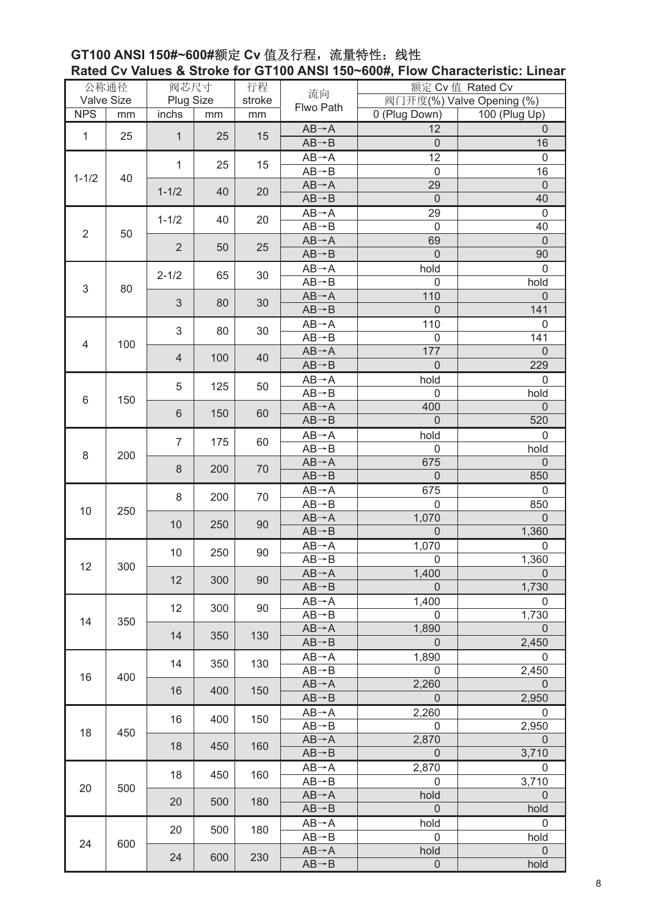#### **GT100 ANSI 150#~600#额定 Cv** 值及行程, 流量特性: 线性 **Rated Cv Values & Stroke for GT100 ANSI 150~600#, Flow Characteristic: Linear**

|                           | 公称通径       | 阀芯尺寸                   |     | 行程                 | 流向                                       | 额定 Cv 值 Rated Cv |                           |  |
|---------------------------|------------|------------------------|-----|--------------------|------------------------------------------|------------------|---------------------------|--|
|                           | Valve Size | Plug Size              |     | stroke             | Flwo Path                                |                  | 阀门开度(%) Valve Opening (%) |  |
| <b>NPS</b>                | mm         | inchs                  | mm  | mm                 |                                          | 0 (Plug Down)    | 100 (Plug Up)             |  |
| $\mathbf{1}$              | 25         | $\mathbf{1}$           | 25  | 15                 | $AB \rightarrow A$                       | 12               | $\overline{0}$            |  |
|                           |            |                        |     |                    | $AB \rightarrow B$                       | $\mathbf 0$      | 16                        |  |
|                           |            | $\mathbf{1}$           |     |                    | $AB \rightarrow A$                       | 12               | $\mathbf 0$               |  |
|                           |            |                        | 25  | 15                 | $AB \rightarrow B$                       | $\mathbf 0$      | 16                        |  |
| 40<br>$1 - 1/2$           |            |                        |     |                    | $AB \rightarrow A$                       | 29               | $\mathbf 0$               |  |
|                           |            | $1 - 1/2$              | 40  | 20                 | $AB \rightarrow B$                       | $\overline{0}$   | 40                        |  |
|                           |            |                        |     |                    | $AB \rightarrow A$                       | 29               | $\mathbf 0$               |  |
| $\overline{2}$<br>50      | $1 - 1/2$  | 40                     | 20  | $AB \rightarrow B$ | $\mathbf 0$                              | 40               |                           |  |
|                           |            |                        |     |                    | $AB \rightarrow A$                       | 69               | $\mathbf 0$               |  |
|                           |            | $\overline{2}$         | 50  | 25                 | $AB \rightarrow B$                       | $\mathbf 0$      | 90                        |  |
|                           |            |                        |     |                    | $AB \rightarrow A$                       | hold             | $\mathbf 0$               |  |
|                           |            | $2 - 1/2$              | 65  | 30                 | $AB \rightarrow B$                       | $\mathbf 0$      | hold                      |  |
| $\ensuremath{\mathsf{3}}$ | 80         |                        |     |                    | $AB \rightarrow A$                       | 110              | $\mathbf 0$               |  |
|                           |            | $\mathfrak{S}$         | 80  | 30                 | $AB \rightarrow B$                       | $\mathbf 0$      | 141                       |  |
|                           |            |                        |     |                    | $AB \rightarrow A$                       | 110              | $\mathbf 0$               |  |
|                           |            | $\sqrt{3}$             | 80  | 30                 | $AB \rightarrow B$                       | 0                | 141                       |  |
| 4                         | 100        | 4                      |     |                    | $AB \rightarrow A$                       | 177              | $\mathbf 0$               |  |
|                           |            |                        | 100 | 40                 | $AB \rightarrow B$                       | $\mathbf 0$      | 229                       |  |
|                           |            |                        |     |                    | $AB \rightarrow A$                       | hold             | $\mathbf 0$               |  |
|                           |            | 5                      | 125 | 50                 | $AB \rightarrow B$                       | $\mathbf 0$      | hold                      |  |
| 6                         | 150        |                        |     |                    | $AB \rightarrow A$                       | 400              | $\mathbf 0$               |  |
|                           |            | 6                      | 150 | 60                 | $AB \rightarrow B$                       | $\mathbf 0$      | 520                       |  |
|                           |            |                        |     |                    | $AB \rightarrow A$                       | hold             | $\mathbf 0$               |  |
| 8                         |            | $\overline{7}$         | 175 | 60                 | $AB \rightarrow B$                       | 0                | hold                      |  |
|                           | 200        |                        |     |                    | $AB \rightarrow A$                       | 675              | $\mathbf 0$               |  |
|                           |            | 8                      | 200 | 70                 | $AB \rightarrow B$                       | $\overline{0}$   | 850                       |  |
|                           |            |                        |     |                    |                                          |                  |                           |  |
|                           | 250        | 8                      | 200 | 70                 | $AB \rightarrow A$<br>$AB \rightarrow B$ | 675<br>0         | $\mathbf 0$<br>850        |  |
| 10                        |            |                        |     |                    |                                          | 1,070            | $\mathbf 0$               |  |
|                           |            | 10                     | 250 | 90                 | $AB \rightarrow A$<br>$AB \rightarrow B$ | $\mathbf 0$      | 1,360                     |  |
|                           |            |                        |     |                    |                                          |                  |                           |  |
|                           |            | 10                     | 250 | 90                 | $AB \rightarrow A$                       | 1,070            | 0                         |  |
| 12                        | 300        |                        |     |                    | $AB \rightarrow B$                       | 0                | 1,360                     |  |
|                           |            | 12                     | 300 | 90                 | $AB \rightarrow A$                       | 1,400            | $\overline{0}$            |  |
|                           |            |                        |     |                    | $AB \rightarrow B$                       | $\Omega$         | 1,730                     |  |
|                           |            | 12                     | 300 | 90                 | $AB \rightarrow A$                       | 1,400            | $\mathbf 0$               |  |
| 14                        | 350        |                        |     |                    | $AB \rightarrow B$                       | $\mathbf 0$      | 1,730                     |  |
|                           |            | 14                     | 350 | 130                | $AB \rightarrow A$                       | 1,890            | $\Omega$                  |  |
|                           |            |                        |     |                    | $AB \rightarrow B$                       | $\Omega$         | 2,450                     |  |
|                           |            | 14                     | 350 | 130                | $AB \rightarrow A$                       | 1,890            | $\mathbf 0$               |  |
| 16                        | 400        |                        |     |                    | $AB \rightarrow B$                       | $\mathbf{0}$     | 2,450                     |  |
|                           |            | 16                     | 400 | 150                | $AB \rightarrow A$                       | 2,260            | $\mathbf 0$               |  |
|                           |            |                        |     |                    | $AB \rightarrow B$                       | $\theta$         | 2,950                     |  |
|                           |            | 16                     | 400 | 150                | $AB \rightarrow A$                       | 2,260            | $\mathbf 0$               |  |
| 18                        | 450        |                        |     |                    | $AB \rightarrow B$                       | $\mathbf 0$      | 2,950                     |  |
|                           |            | 18                     | 450 | 160                | $AB \rightarrow A$                       | 2,870            | $\theta$                  |  |
|                           |            |                        |     |                    | $AB \rightarrow B$                       | $\mathbf 0$      | 3,710                     |  |
|                           |            | 18                     | 450 | 160                | $AB \rightarrow A$                       | 2,870            | $\mathbf 0$               |  |
| 20                        | 500        |                        |     |                    | $AB \rightarrow B$                       | 0                | 3,710                     |  |
|                           |            | 20                     | 500 | 180                | $AB \rightarrow A$                       | hold             | $\mathbf 0$               |  |
|                           |            |                        |     |                    | $AB \rightarrow B$                       | $\mathbf 0$      | hold                      |  |
|                           |            |                        |     | 180                | $AB \rightarrow A$                       | hold             | $\mathbf 0$               |  |
| 24                        | 600        | 20<br>500<br>24<br>600 |     |                    | $AB \rightarrow B$                       | 0                | hold                      |  |
|                           |            |                        | 230 | $AB \rightarrow A$ | hold                                     | $\mathbf 0$      |                           |  |
|                           |            |                        |     |                    | $AB \rightarrow B$                       | $\mathbf 0$      | hold                      |  |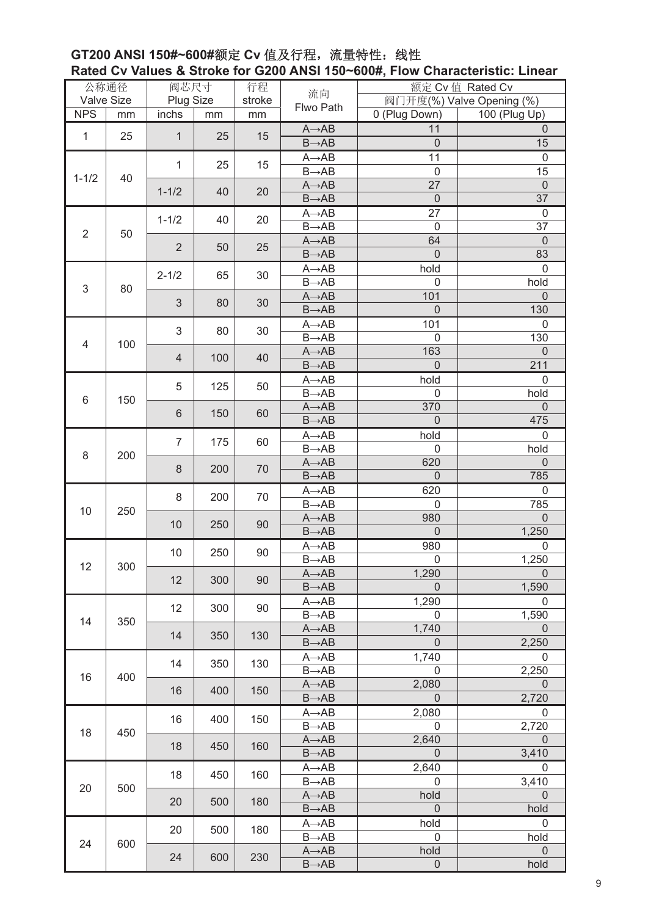#### **GT200 ANSI 150#~600#额定 Cv** 值及行程, 流量特性: 线性 **Rated Cv Values & Stroke for G200 ANSI 150~600#, Flow Characteristic: Linear**

|                      | 公称通径           | 阀芯尺寸           |     | 行程                 | 流向                          | 额定 Cv 值 Rated Cv    |                           |     |              |
|----------------------|----------------|----------------|-----|--------------------|-----------------------------|---------------------|---------------------------|-----|--------------|
|                      | Valve Size     | Plug Size      |     | stroke             | Flwo Path                   |                     | 阀门开度(%) Valve Opening (%) |     |              |
| <b>NPS</b>           | mm             | inchs          | mm  | mm                 |                             | 0 (Plug Down)       | 100 (Plug Up)             |     |              |
| $\mathbf{1}$         | 25             | $\mathbf{1}$   | 25  | 15                 | $A \rightarrow AB$          | 11                  | $\mathbf 0$               |     |              |
|                      |                |                |     |                    | $B\rightarrow AB$           | $\mathbf 0$         | 15                        |     |              |
|                      |                | $\mathbf{1}$   | 25  | 15                 | $A \rightarrow AB$          | 11                  | $\mathbf 0$               |     |              |
| 40<br>$1 - 1/2$      |                |                |     |                    | $B\rightarrow AB$           | $\mathbf 0$         | 15                        |     |              |
|                      |                | $1 - 1/2$      | 40  | 20                 | $A \rightarrow AB$          | 27                  | $\mathbf 0$               |     |              |
|                      |                |                |     |                    | $B\rightarrow AB$           | $\mathbf 0$         | 37                        |     |              |
|                      |                | $1 - 1/2$      | 40  | 20                 | $A \rightarrow AB$          | 27                  | $\mathbf 0$               |     |              |
| $\overline{2}$<br>50 |                |                |     | $B\rightarrow AB$  | $\mathbf 0$                 | 37                  |                           |     |              |
|                      |                | $\overline{2}$ | 50  | 25                 | $A \rightarrow AB$          | 64                  | $\mathbf 0$               |     |              |
|                      |                |                |     | $B\rightarrow AB$  | $\overline{0}$              | 83                  |                           |     |              |
|                      |                | $2 - 1/2$      | 65  | 30                 | $A \rightarrow AB$          | hold                | $\mathsf 0$               |     |              |
| 3                    | 80             |                |     |                    | $B\rightarrow\overline{AB}$ | $\mathbf 0$         | hold                      |     |              |
|                      |                | $\mathfrak{S}$ | 80  | 30                 | $A \rightarrow AB$          | 101                 | $\mathbf 0$               |     |              |
|                      |                |                |     |                    | $B\rightarrow AB$           | $\mathbf 0$         | 130                       |     |              |
|                      |                | 3              | 80  | 30                 | $A \rightarrow AB$          | 101                 | $\overline{0}$            |     |              |
| 4                    | 100            |                |     |                    | $B\rightarrow AB$           | $\mathbf 0$         | 130                       |     |              |
|                      | $\overline{4}$ |                | 100 | 40                 | $A \rightarrow AB$          | 163                 | $\mathbf 0$               |     |              |
|                      |                |                |     |                    | $B\rightarrow AB$           | $\overline{0}$      | 211                       |     |              |
|                      |                | 5              | 125 | 50                 | $A \rightarrow AB$          | hold                | $\mathbf 0$               |     |              |
| 6                    | 150            |                |     |                    | $B\rightarrow AB$           | $\mathbf 0$         | hold                      |     |              |
|                      |                | $6\,$          | 150 | 60                 | $A \rightarrow AB$          | 370                 | $\mathbf 0$               |     |              |
|                      |                |                |     |                    | $B\rightarrow AB$           | $\mathbf 0$         | 475                       |     |              |
| 8<br>200             | 7              | 175            | 60  | $A \rightarrow AB$ | hold                        | 0                   |                           |     |              |
|                      |                |                |     |                    | $B\rightarrow AB$           | $\mathsf 0$         | hold                      |     |              |
|                      |                | 8              | 200 | 70                 | $A \rightarrow AB$          | 620                 | $\overline{0}$            |     |              |
|                      |                |                |     |                    | $B\rightarrow AB$           | $\overline{0}$      | 785                       |     |              |
|                      |                | 8              | 200 | 70                 | $A \rightarrow AB$          | 620                 | $\mathbf 0$               |     |              |
| 10                   | 250            |                |     |                    | $B\rightarrow AB$           | $\mathbf 0$         | 785                       |     |              |
|                      |                | 10             | 250 | 90                 | $A \rightarrow AB$          | 980                 | $\mathbf 0$               |     |              |
|                      |                |                |     |                    | $B\rightarrow AB$           | $\mathbf 0$         | 1,250                     |     |              |
|                      |                |                | 10  |                    | 250                         | 90                  | $A \rightarrow AB$        | 980 | $\mathbf{0}$ |
| 12                   | 300            |                |     |                    | $B\rightarrow AB$           | $\mathsf 0$         | 1,250                     |     |              |
|                      |                | 12             | 300 | 90                 | $A \rightarrow AB$          | 1,290               | $\overline{0}$            |     |              |
|                      |                |                |     |                    | $B\rightarrow AB$           | $\Omega$            | 1,590                     |     |              |
|                      |                | 12             | 300 | 90                 | $A \rightarrow AB$          | 1,290               | $\mathbf 0$               |     |              |
| 14                   | 350            |                |     |                    | $B\rightarrow AB$           | $\mathbf 0$         | 1,590                     |     |              |
|                      |                | 14             | 350 | 130                | $A \rightarrow AB$          | 1,740               | $\overline{0}$            |     |              |
|                      |                |                |     |                    | $B\rightarrow AB$           | $\mathbf 0$         | 2,250                     |     |              |
|                      |                | 14             | 350 | 130                | $A \rightarrow AB$          | 1,740               | $\mathbf 0$               |     |              |
| 16                   | 400            |                |     |                    | $B\rightarrow AB$           | $\mathbf 0$         | 2,250                     |     |              |
|                      |                | 16             | 400 | 150                | $A \rightarrow AB$          | 2,080               | $\mathbf 0$               |     |              |
|                      |                |                |     |                    | $B\rightarrow AB$           | $\mathbf 0$         | 2,720                     |     |              |
|                      |                | 16             | 400 | 150                | $A \rightarrow AB$          | 2,080               | $\mathsf 0$               |     |              |
| 18                   | 450            |                |     |                    | $B\rightarrow AB$           | $\mathbf 0$         | 2,720                     |     |              |
|                      |                | 18             | 450 | 160                | $A \rightarrow AB$          | 2,640               | $\mathbf 0$               |     |              |
|                      |                |                |     |                    | $B\rightarrow AB$           | $\mathbf 0$         | 3,410                     |     |              |
|                      |                | 18             | 450 | 160                | $A \rightarrow AB$          | 2,640               | 0                         |     |              |
| 20                   | 500            |                |     |                    | $B\rightarrow AB$           | $\mathsf{O}\xspace$ | 3,410                     |     |              |
|                      |                | 20             | 500 | 180                | $A \rightarrow AB$          | hold                | $\mathbf 0$               |     |              |
|                      |                |                |     |                    | $B\rightarrow AB$           | $\mathbf 0$         | hold                      |     |              |
|                      |                | 20             | 500 | 180                | $A \rightarrow AB$          | hold                | $\pmb{0}$                 |     |              |
| 24                   | 600            |                |     |                    | $B\rightarrow AB$           | $\mathbf 0$         | hold                      |     |              |
|                      |                | 24<br>600      | 230 | $A \rightarrow AB$ | hold                        | $\mathsf{O}\xspace$ |                           |     |              |
|                      |                |                |     |                    | $B\rightarrow AB$           | $\mathbf 0$         | hold                      |     |              |